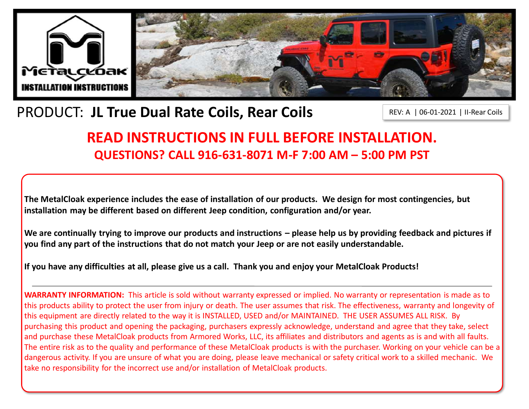

# PRODUCT: **JL True Dual Rate Coils, Rear Coils**

REV: A | 06-01-2021 | II-Rear Coils

# **READ INSTRUCTIONS IN FULL BEFORE INSTALLATION. QUESTIONS? CALL 916-631-8071 M-F 7:00 AM – 5:00 PM PST**

**The MetalCloak experience includes the ease of installation of our products. We design for most contingencies, but installation may be different based on different Jeep condition, configuration and/or year.**

We are continually trying to improve our products and instructions – please help us by providing feedback and pictures if **you find any part of the instructions that do not match your Jeep or are not easily understandable.** 

**If you have any difficulties at all, please give us a call. Thank you and enjoy your MetalCloak Products!** 

**WARRANTY INFORMATION:** This article is sold without warranty expressed or implied. No warranty or representation is made as to this products ability to protect the user from injury or death. The user assumes that risk. The effectiveness, warranty and longevity of this equipment are directly related to the way it is INSTALLED, USED and/or MAINTAINED. THE USER ASSUMES ALL RISK. By purchasing this product and opening the packaging, purchasers expressly acknowledge, understand and agree that they take, select and purchase these MetalCloak products from Armored Works, LLC, its affiliates and distributors and agents as is and with all faults. The entire risk as to the quality and performance of these MetalCloak products is with the purchaser. Working on your vehicle can be a dangerous activity. If you are unsure of what you are doing, please leave mechanical or safety critical work to a skilled mechanic. We take no responsibility for the incorrect use and/or installation of MetalCloak products.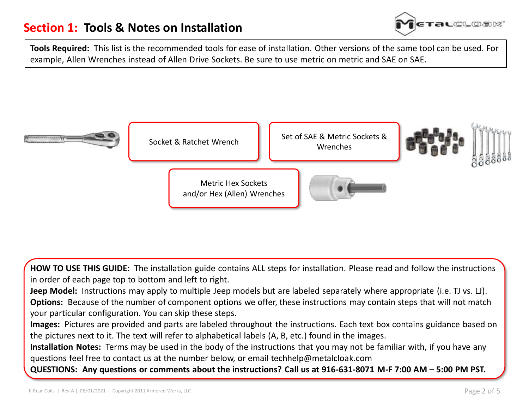

**Tools Required:** This list is the recommended tools for ease of installation. Other versions of the same tool can be used. For example, Allen Wrenches instead of Allen Drive Sockets. Be sure to use metric on metric and SAE on SAE.



**HOW TO USE THIS GUIDE:** The installation guide contains ALL steps for installation. Please read and follow the instructions in order of each page top to bottom and left to right.

**Jeep Model:** Instructions may apply to multiple Jeep models but are labeled separately where appropriate (i.e. TJ vs. LJ). **Options:** Because of the number of component options we offer, these instructions may contain steps that will not match your particular configuration. You can skip these steps.

**Images:** Pictures are provided and parts are labeled throughout the instructions. Each text box contains guidance based on the pictures next to it. The text will refer to alphabetical labels (A, B, etc.) found in the images.

**Installation Notes:** Terms may be used in the body of the instructions that you may not be familiar with, if you have any questions feel free to contact us at the number below, or email techhelp@metalcloak.com

**QUESTIONS: Any questions or comments about the instructions? Call us at 916-631-8071 M-F 7:00 AM – 5:00 PM PST.**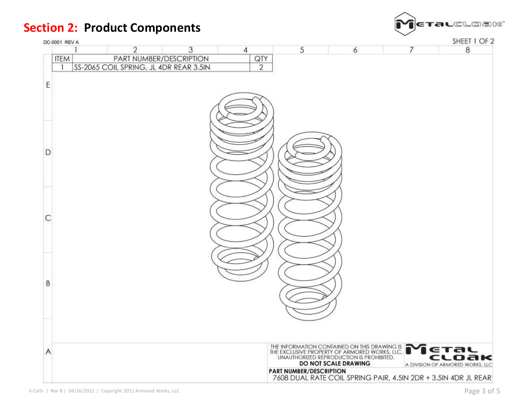



SHEET 1 OF 2

| DC-0001 REV A |                                        |   |                | SHEET 1 OF 2 |                                                                                                                                            |   |                                  |
|---------------|----------------------------------------|---|----------------|--------------|--------------------------------------------------------------------------------------------------------------------------------------------|---|----------------------------------|
|               | 2                                      | 3 | 4              | 5            | 6                                                                                                                                          | 7 | 8                                |
| <b>ITEM</b>   | PART NUMBER/DESCRIPTION                |   | QTY            |              |                                                                                                                                            |   |                                  |
| ा             | SS-2065 COIL SPRING, JL 4DR REAR 3.5IN |   | $\overline{2}$ |              |                                                                                                                                            |   |                                  |
|               |                                        |   |                |              |                                                                                                                                            |   |                                  |
|               |                                        |   |                |              |                                                                                                                                            |   |                                  |
|               |                                        |   |                |              |                                                                                                                                            |   |                                  |
|               |                                        |   |                |              |                                                                                                                                            |   |                                  |
|               |                                        |   |                |              |                                                                                                                                            |   |                                  |
|               |                                        |   |                |              |                                                                                                                                            |   |                                  |
|               |                                        |   |                |              |                                                                                                                                            |   |                                  |
|               |                                        |   |                |              |                                                                                                                                            |   |                                  |
| D             |                                        |   |                |              |                                                                                                                                            |   |                                  |
|               |                                        |   |                |              |                                                                                                                                            |   |                                  |
|               |                                        |   |                |              |                                                                                                                                            |   |                                  |
|               |                                        |   |                |              |                                                                                                                                            |   |                                  |
|               |                                        |   |                |              |                                                                                                                                            |   |                                  |
|               |                                        |   |                |              |                                                                                                                                            |   |                                  |
|               |                                        |   |                |              |                                                                                                                                            |   |                                  |
|               |                                        |   |                |              |                                                                                                                                            |   |                                  |
|               |                                        |   |                |              |                                                                                                                                            |   |                                  |
|               |                                        |   |                |              |                                                                                                                                            |   |                                  |
|               |                                        |   |                |              |                                                                                                                                            |   |                                  |
|               |                                        |   |                |              |                                                                                                                                            |   |                                  |
|               |                                        |   |                |              |                                                                                                                                            |   |                                  |
|               |                                        |   |                |              |                                                                                                                                            |   |                                  |
|               |                                        |   |                |              |                                                                                                                                            |   |                                  |
|               |                                        |   |                |              |                                                                                                                                            |   |                                  |
|               |                                        |   |                |              |                                                                                                                                            |   |                                  |
|               |                                        |   |                |              |                                                                                                                                            |   |                                  |
|               |                                        |   |                |              |                                                                                                                                            |   |                                  |
|               |                                        |   |                |              |                                                                                                                                            |   |                                  |
|               |                                        |   |                |              |                                                                                                                                            |   | ETAL                             |
|               |                                        |   |                |              | THE INFORMATION CONTAINED ON THIS DRAWING IS.<br>THE EXCLUSIVE PROPERTY OF ARMORED WORKS, LLC.<br>UNAUTHORIZED REPRODUCTION IS PROHIBITED. |   | cloak                            |
|               |                                        |   |                |              | DO NOT SCALE DRAWING                                                                                                                       |   | A DIVISION OF ARMORED WORKS, LLC |
|               |                                        |   |                |              | PART NUMBER/DESCRIPTION<br>7608 DUAL RATE COIL SPRING PAIR, 4.5IN 2DR + 3.5IN 4DR JL REAR                                                  |   |                                  |
|               |                                        |   |                |              |                                                                                                                                            |   |                                  |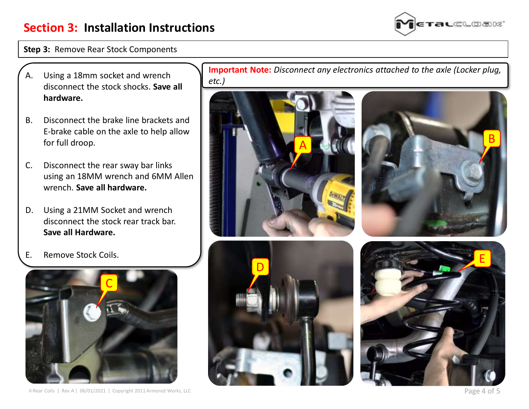

#### **Step 3:** Remove Rear Stock Components

- A. Using a 18mm socket and wrench disconnect the stock shocks. **Save all hardware.**
- B. Disconnect the brake line brackets and E-brake cable on the axle to help allow for full droop.
- C. Disconnect the rear sway bar links using an 18MM wrench and 6MM Allen wrench. **Save all hardware.**
- D. Using a 21MM Socket and wrench disconnect the stock rear track bar. **Save all Hardware.**
- E. Remove Stock Coils.



II-Rear Coils | Rev A | 06/01/2021 | Copyright 2011 Armored Works, LLC **Page 4 of 5** 

**Important Note:** *Disconnect any electronics attached to the axle (Locker plug, etc.)*